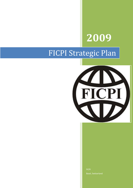# **2009**

## FICPI Strategic Plan



FICPI Basel, Switzerland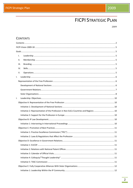## **FICPI STRATEGIC PLAN**

2009

## <span id="page-1-0"></span>**CONTENTS**

|    | Τ.   |                                                                                      |  |  |  |  |
|----|------|--------------------------------------------------------------------------------------|--|--|--|--|
|    | П.   |                                                                                      |  |  |  |  |
|    | III. |                                                                                      |  |  |  |  |
|    | IV.  |                                                                                      |  |  |  |  |
|    | V.   |                                                                                      |  |  |  |  |
| I. |      |                                                                                      |  |  |  |  |
|    |      |                                                                                      |  |  |  |  |
|    |      |                                                                                      |  |  |  |  |
|    |      |                                                                                      |  |  |  |  |
|    |      |                                                                                      |  |  |  |  |
| Τ. |      |                                                                                      |  |  |  |  |
|    |      |                                                                                      |  |  |  |  |
|    |      |                                                                                      |  |  |  |  |
|    |      | Initiative 2: Representation of the Profession in Non-ExCo Countries and Regions  10 |  |  |  |  |
|    |      |                                                                                      |  |  |  |  |
|    |      |                                                                                      |  |  |  |  |
|    |      |                                                                                      |  |  |  |  |
|    |      |                                                                                      |  |  |  |  |
|    |      |                                                                                      |  |  |  |  |
|    |      |                                                                                      |  |  |  |  |
|    |      |                                                                                      |  |  |  |  |
|    |      |                                                                                      |  |  |  |  |
|    |      |                                                                                      |  |  |  |  |
|    |      |                                                                                      |  |  |  |  |
|    |      |                                                                                      |  |  |  |  |
|    |      |                                                                                      |  |  |  |  |
|    |      |                                                                                      |  |  |  |  |
|    |      |                                                                                      |  |  |  |  |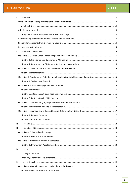| ΙΙ.  |                                                                                     |  |
|------|-------------------------------------------------------------------------------------|--|
|      |                                                                                     |  |
|      |                                                                                     |  |
|      |                                                                                     |  |
|      |                                                                                     |  |
|      |                                                                                     |  |
|      |                                                                                     |  |
|      |                                                                                     |  |
| Ш.   |                                                                                     |  |
|      |                                                                                     |  |
|      |                                                                                     |  |
|      |                                                                                     |  |
|      |                                                                                     |  |
|      |                                                                                     |  |
|      | Objective C: Assistance for Potential Members/Applicants in Developing Countries 16 |  |
|      |                                                                                     |  |
|      |                                                                                     |  |
|      |                                                                                     |  |
|      |                                                                                     |  |
|      |                                                                                     |  |
|      |                                                                                     |  |
|      |                                                                                     |  |
|      |                                                                                     |  |
|      |                                                                                     |  |
|      |                                                                                     |  |
| Ш.   |                                                                                     |  |
| III. |                                                                                     |  |
|      |                                                                                     |  |
|      |                                                                                     |  |
|      |                                                                                     |  |
|      |                                                                                     |  |
| IV.  |                                                                                     |  |
|      |                                                                                     |  |
|      |                                                                                     |  |
| IV.  |                                                                                     |  |
|      |                                                                                     |  |
|      |                                                                                     |  |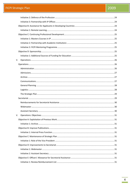## **FICPI Strategic Plan**

## 2009

| V. |  |  |
|----|--|--|
|    |  |  |
|    |  |  |
|    |  |  |
|    |  |  |
|    |  |  |
|    |  |  |
|    |  |  |
|    |  |  |
|    |  |  |
|    |  |  |
|    |  |  |
|    |  |  |
| V. |  |  |
|    |  |  |
|    |  |  |
|    |  |  |
|    |  |  |
|    |  |  |
|    |  |  |
|    |  |  |
|    |  |  |
|    |  |  |
|    |  |  |
|    |  |  |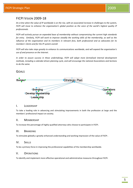## <span id="page-4-0"></span>FICPI VISION 2009-18

*At a time when the value of IP worldwide is on the rise, with an associated increase in challenges to the system, FICPI will move to enhance the organisation's global position as the voice of the world's highest quality IP professionals.*

*FICPI will actively pursue an expanded base of membership without compromising the current high standards for entry. Similarly, FICPI will work to improve steadily the working skills of the membership, as well as the influence of the organisation and its members in relevant fora, both professional and as advocates for its members' clients and for the IP system overall.*

*FICPI will also take steps greatly to enhance its communications worldwide, and will expand the organisation's use of and presence on the Internet.*

*In order to assure success in these undertakings, FICPI will adopt more formalised internal development methods, including a calendar-driven planning cycle, and will encourage the national Associations and Sections to do the same.*

## <span id="page-4-1"></span>GOALS



#### <span id="page-4-2"></span>I. LEADERSHIP

To take a leading role in advancing and stimulating improvements in both the profession at large and the members' professional impact on society.

## <span id="page-4-3"></span>II. MEMBERSHIP

To increase the percentage of highly qualified attorneys who choose to participate in FICPI.

#### <span id="page-4-4"></span>III. BRANDING

To stimulate globally a greatly enhanced understanding and working impression of the value of FICPI .

## <span id="page-4-5"></span>IV. SKILLS

To be a primary force in improving the professional capabilities of the membership worldwide.

## <span id="page-4-6"></span>V. OPERATIONS

To identify and implement more effective operational and administrative measures throughout FICPI.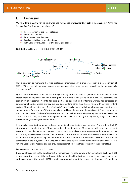## <span id="page-5-0"></span>I. LEADERSHIP

*FICPI will take a leading role in advancing and stimulating improvements in both the profession at large and the members' professional impact on society*.

- ₩., Representation of the Free Profession
- $\ddot{\bullet}$  IP Law Development
- $\bigstar$  Promotion of Best Practices
- Excellence in Government Relations
- $\ddot{\phantom{1}}$  Fully Cooperative Alliances with Sister Organisations

## <span id="page-5-1"></span>REPRESENTATION OF THE FREE PROFESSION



FICPI's assertion to represent the "free profession" internationally is predicated upon a clear definition of FICPI's "Aims" as well as upon having a membership which may be seen objectively to be genuinely "representative".

By the "**free profession**" is meant IP attorneys working in private practice (either as business-owners, sole practitioners or employed persons) whose primary business is the provision of IP services, especially the acquisition of registered IP rights, for third parties; as opposed to IP attorneys working for corporate or governmental entities whose primary business is something other than the provision of IP services to third parties. Although the latter are "IP professionals", their fiduciary duty to their employers means that they are unable to stand for the body of IP attorneys whose livelihood derives from the provision of IP services to more than one client. Many "in-house" IP professionals will also lack experience in private practice. Members of the "free profession" are, in principle, independent and capable of acting for any client, subject to ethical considerations, including conflicts of interest<sup>[1](#page-5-3)</sup>.

It is widely recognised by patent offices, international organisations dealing with IP and others that IP attorneys are essential for the efficient operation of the IP system. Most patent offices will say, at least anecdotally, that they could not operate if the majority of applicants were represented by themselves. As such, it may readily be seen that the "free profession" of IP attorneys represents an essential, core element of the IP system at large, which requires representation at the national and international levels as a true, primary stakeholder in the IP system. FICPI uniquely provides that representation at the international level. FICPI's national Sections and Associations also provide representation of the free profession at the national level.

## <span id="page-5-2"></span>DEVELOPMENT OF NATIONAL SECTIONS

One area of focus will be the development of membership, typically by way of further national Sections. FICPI cannot purport to represent the profession at the international level without playing its part in developing the profession around the world. FICPI is under-represented in certain regions. A "hunting list" has been

<span id="page-5-3"></span> $1$  EXCO/US02/BUR/010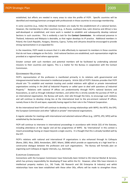established, but efforts are needed in many areas to raise the profile of FICPI. Specific countries will be identified and meetings/seminars arranged with professionals in those countries to encourage membership.

In some countries (*e.g.*, India) the individual members are ready for the establishment of a national Section. However, the membership in other countries (*e.g.*, in Russia, southeast Asia, Latin America and Africa) is less well-developed or established, and more work is needed to establish and subsequently develop national Sections in such countries. This is evidently a task for the **Contact Commission**. An enhanced presence in Thailand, Indonesia and Malaysia is desirable, as that region develops its IP practice. Additional members in Poland, the Czech Republic, Hungary, Slovenia, Cyprus, Turkey and Lithuania should be encouraged to provide strong representation in an expanded EU.

In the meantime, FICPI needs to ensure that it is able effectively to represent its members in those countries that do not have a delegate on the ExCo. Until national Sections are established, such representation might be provided at a regional level where appropriate.

Greater contact with such members and potential members will be facilitated by undertaking selected missions to their countries and regions. This is a matter for the Bureau in cooperation with the Contact Commission.

#### <span id="page-6-0"></span>GOVERNMENT RELATIONS

FICPI's representation of the profession is manifested primarily in its relations with governmental and intergovernmental bodies interested in intellectual property. Article 2(6) of FICPI's Statutes provides that FICPI should aim "*To establish and maintain trusting and cordial relations with official or private international organisations existing in the field of Industrial Property or called upon to deal with questions of Industrial Property*." Relations with national IP offices are predominantly through FICPI's national Sections and Associations, as well as through individual members, and whilst this is strictly outside the purview of FICPI as an international organisation, the Bureau will work, *inter alia* through the ExCo, to encourage such relations and will continue to develop strong ties at the international level to the pre-eminent national IP offices, namely those in the US and Japan, especially having regard to their role in the Trilateral Cooperation.

At the international level FICPI will continue to develop its strong relationships with WIPO, the WTO, the EPO, the European Commission and other "*official or private*" international organisations.

A regular calendar for meetings with international and selected national offices (e.g., USPTO, JPO, SIPO) will be established by the Secretariat.

FICPI will continue to intervene in international proceedings in accordance with Article 2(5) of the Statutes, including attendance at the regular and *ad hoc* programmes of WIPO. By 'international' in this context is meant proceedings having an impact beyond a single country. It is thought that this is already handled well by the CET.

FICPI's relations with national and international IP organisations is also enhanced through its Colloquia (Rome, 2001; Nice, 2003; Amsterdam, 2007; Miami, 2008) which provide an opportunity at a high level for a constructive dialogue between the profession and such organisations. The Bureau will formally plan on organising such Colloquia at regular intervals, *e.g*., biennially.

#### EUROPEAN COMMISSION

Connections with the European Commission have historically been limited to DG Internal Market & Services, which has primary responsibility for developing IP laws within the EU. However, other DGs have interests in intellectual property matters (*i.e.*, DG Trade, DG Research and DG Enterprise & Industry) and whilst relationships have now been established with these other DGs, efforts will be made to strengthen those.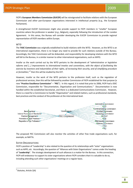FICPI's **European Members Commission (EUCOF)** will be reinvigorated to facilitate relations with the European Commission and other pan-European organisations interested in intellectual property (*e.g.,* the European Parliament).

A strengthened EUCOF Commission might also provide support to FICPI members in "smaller" European countries where the profession is weaker (*e.g*., Belgium), especially following the introduction of the London Agreement. In this sense, the Bureau will consider developing the EUCOF Commission to provide regional representation of FICPI members within Europe.

#### WTO

The **TASC Commission** was originally established to build relations with the WTO. However, as the WTO is an international organisation, there is no longer any need to provide for such relations outside of the Bureau. Accordingly, the TASC Commission will be disbanded, and responsibility for developing relations with the WTO will fall to the Bureau, in a similar manner to other international organisations, such as WIPO.

Insofar as the work carried out by the WTO pertains to the development of "*administrative or legislative reforms and [...] improvements to international treaties and conventions, with the object of facilitating the exercise by inventors and industrialists of their rights, of increasing their security, and of simplifying procedure*  or formalities,"<sup>[2](#page-7-1)</sup> then this will be studied by the CET.

However, insofar as the work of the WTO pertains to the profession itself, such as the regulation of professional services, then this will be followed by another Commission of FICPI established for that purpose (a new "**Practice Excellence Commission**" – "**PEC**"). In this regard, it is noted that prior to 2006, FICPI had a DOC Commission, responsible for "Documentation, Organisation and Communications." Documentation is now handled within the established Secretariat, and there is a dedicated Communications Commission. However, there is a need for a Commission to handle "Organisation" and related matters, such as professional standards, best practices and the conduct of the profession at the international level.



The proposed PEC Commission will also monitor the activities of other free trade organisations such, for example, as NAFTA.

#### <span id="page-7-0"></span>SISTER ORGANISATIONS

FICPI's position of "Leadership" is also related to the question of its relationships with "sister" organisations such as AIPPI, *etc*. Accordingly, the question of "Alliances with Sister Organisations" comes under the heading of "**Leadership**". The strategic development of such alliances is a matter for the Bureau. In this connection, FICPI will endeavour to support its sister organisations where FICPI considers that it is valuable to do so, including attending such other organisations' meetings on a regular basis.

<span id="page-7-1"></span> $2$  Statutes, Article 2(4)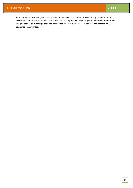FICPI has limited resources, but is in a position to influence others and to provide quality commentary. To ensure consideration of those ideas and enhance their adoption, FICPI will cooperate with other international IP organisations on a strategic basis and will adopt a leadership stance, for instance in the informal NGO coordination committee.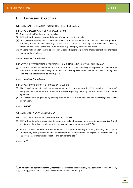## <span id="page-9-0"></span>I. LEADERSHIP: OBJECTIVES

## <span id="page-9-1"></span>OBJECTIVE A: REPRESENTATION OF THE FREE PROFESSION

<span id="page-9-2"></span>INITIATIVE 1: DEVELOPMENT OF NATIONAL SECTIONS

- (i) Further national Sections will be established.
- (ii) FICPI will work towards the establishment of a national Section in India.
- (iii) Consideration will be given to the establishment of additional national sections in Eastern Europe (*e.g.,* Lithuania, Russia, Poland, Slovenia), Turkey, Cyprus, Southeast Asia (*e.g.*, the Philippines, Thailand, Indonesia, Malaysia), Central and South America (*e.g.*, Paraguay, Ecuador) and Africa.
- (iv) Missions will be undertaken to selected countries and regions to promote greater contact with members and potential members.

#### *Owner: Contact Commission*

<span id="page-9-3"></span>INITIATIVE 2: REPRESENTATION OF THE PROFESSION IN NON-EXCO COUNTRIES AND REGIONS

(i) Measures will be implemented to ensure that FICPI is able effectively to represent its members in countries that do not have a delegate on the ExCo. Such representation could be provided at the regional level and this possibility will be investigated.

#### *Owner: Contact Commission*

<span id="page-9-4"></span>INITIATIVE 3: SUPPORT FOR THE PROFESSION IN EUROPE

- (i) The EUCOF Commission will be strengthened to facilitate support for FICPI members in "smaller" European countries where the profession is weaker, especially following the introduction of the London Agreement.
- (ii) Consideration will be given to regional representation of FICPI members within Europe through the EUCOF Commission.

#### *Owner: EUCOF*

## <span id="page-9-5"></span>OBJECTIVE B: IP LAW DEVELOPMENT

#### <span id="page-9-6"></span>INITIATIVE 1: INTERVENING IN INTERNATIONAL PROCEEDINGS

- (i) FICPI will continue to intervene in international (as defined) proceedings in accordance with Article 2(5) of the Statutes, including attendance at the regular and *ad hoc* programmes of WIPO.
- (ii) FICPI will follow the work of WIPO, WTO and other international organisations, including the Trilateral Cooperation, that pertains to the development of "administrative or legislative reforms and [...] improvements to international treaties and conventions, etc."<sup>[3](#page-10-9)</sup>

#### *Owner: CET*

 <sup>3</sup> Administrative or legislative reforms, international treaties and conventions, *etc*., pertaining to IP as an asset, *e.g.*, licensing, patent pools, *etc*., will fall within the remit of CET Group 10.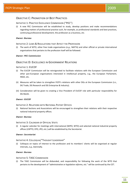## <span id="page-10-0"></span>OBJECTIVE C: PROMOTION OF BEST PRACTICES

#### <span id="page-10-1"></span>INITIATIVE 1: PRACTICE EXCELLENCE COMMISSION ("PEC")

(i) A new PEC Commission will be established to study, develop positions and make recommendations regarding matters of professional practice such, for example, as professional standards and best practices, continuing professional development, the profession as a business, *etc*.

#### *Owner: Bureau*

#### <span id="page-10-2"></span>INITIATIVE 2: LAWS & REGULATIONS THAT AFFECT THE PROFESSION

(i) The work of WTO, other free trade organisations (*e.g.*, NAFTA) and other official or private international organisations that pertains to the profession itself will be followed.

#### *Owner: PEC Commission*

## <span id="page-10-3"></span>OBJECTIVE D: EXCELLENCE IN GOVERNMENT RELATIONS

#### <span id="page-10-4"></span>INITIATIVE 1: EUCOF

- (i) The EUCOF Commission will be reinvigorated to facilitate relations with the European Commission and other pan-European organisations interested in intellectual property, e.g., the European Parliament, INGO, etc.
- (ii) Measures will be taken to strengthen FICPI's relations with other DGs at the European Commission (*i.e.*, DG Trade, DG Research and DG Enterprise & Industry).
- (iii) Consideration will be given to creating a Vice President of EUCOF role with particular responsibility for DG Markt.

#### *Owner: EUCOF*

#### <span id="page-10-5"></span>INITIATIVE 2: RELATIONS WITH NATIONAL PATENT OFFICES

(i) National Sections and Associations will be encouraged to strengthen their relations with their respective national industrial property offices.

#### *Owner: Bureau*

<span id="page-10-6"></span>INITIATIVE 3: CALENDAR OF OFFICIAL VISITS

(i) A regular calendar for meetings with international (WIPO, WTO) and selected national industrial property offices (USPTO, EPO, JPO, *etc*.) will be established by the Secretariat.

#### *Owner: Secretariat*

#### <span id="page-10-7"></span>INITIATIVE 4: COLLOQUIA/"THOUGHT LEADERSHIP"

(i) Colloquia on topics of interest to the profession and its members' clients will be organised at regular intervals, *e.g.*, biennially.

#### *Owner: Bureau*

#### <span id="page-10-8"></span>INITIATIVE 5: TASC COMMISSION

<span id="page-10-9"></span>(i) The TASC Commission will be disbanded, and responsibility for following the work of the WTO that pertains to the development of "*administrative or legislative reforms, etc*." will be continued by the CET.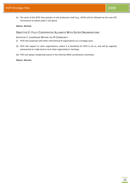(ii) The work of the WTO that pertains to the profession itself (*e.g.*, GATS) will be followed by the new PEC Commission as stated under C.2(i) above.

#### *Owner: Bureau*

## <span id="page-11-0"></span>OBJECTIVE E: FULLY COOPERATIVE ALLIANCES WITH SISTER ORGANISATIONS

<span id="page-11-1"></span>INITIATIVE 1: LEADERSHIP WITHIN THE IP COMMUNITY

- (i) FICPI will cooperate with other international IP organisations on a strategic basis.
- (ii) FICPI will support its sister organisations, where it is beneficial for FICPI to do so, and will be regularly represented at a high level at such other organisations' meetings.
- (iii) FICPI will adopt a leadership stance in the informal INGO coordination committee.

#### *Owner: Bureau*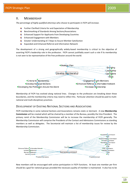## <span id="page-12-0"></span>II. MEMBERSHIP

*The percentage of highly qualified attorneys who choose to participate in FICPI will increase.*

- Further Clarified Criteria for and Expectation of Membership
- Benchmarking of Standards Among Sections/Associations
- $\ddot{\phantom{1}}$  Enhanced Support for Applicants from Developing Countries
- $\leftarrow$  Enhanced Engagement with Members
- Greater Understanding of / Steps to Assure Member Satisfaction
- ₩., Expanded and Enhanced Referral and Information Network

The development of a strong and geographically widely-based membership is critical to the objective of asserting FICPI's leadership role in the profession. FICPI cannot justifiably assert such a role if its membership is not seen to be representative of the free profession around the world.



Membership of FICPI has evolved along national lines. Changes to the profession are breaking down these boundaries, and the membership criteria may need to reflect this. Particular attention should be paid to multinational and multi-disciplinary practices.

## <span id="page-12-1"></span>DEVELOPMENT OF EXISTING NATIONAL SECTIONS AND ASSOCIATIONS

FICPI membership in some national Sections and Associations remains static or dormant. A new **Membership Commission** will be created which will be chaired by a member of the Bureau, possibly the Vice President. The primary remit of the Membership Commission will be to increase the membership of FICPI generally. The Membership Commission will comprise the Presidents of the Contact and Admissions Commissions as standing members as well as delegates. The Secretariat will maintain a list of membership issues for review by the Membership Commission.



New members will be encouraged with active participation in FICPI functions. At least one member *per* firm should be a goal for national groups provided the necessary quality of member is maintained. It also has to be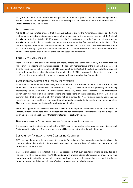recognised that FICPI cannot interfere in the operation of its national groups. Support and encouragement for national activities should be provided. The ExCo country reports should continue to focus on local activities as well as changes in law and practice.

#### <span id="page-13-0"></span>MEMBERSHIP FEES

Article 24.1 of the Statutes provides that the annual subscriptions for the National Associations and Sections shall comprise a fixed subscription and a subscription proportional to the number of members of the National Association or Section. Article 24.2(b) provides that the "proportional subscription" may be reduced when an Association or Section has a certain number of members exceeding first, second and third limits. This membership fee structure and the actual numbers for the first, second and third limits will be reviewed, with the aim of providing a greater incentive for members of a national Section or Association to increase their number to the benefit of all members of the National Section or Association.

#### <span id="page-13-1"></span>CRITERIA FOR MEMBERSHIP

From the results of the online poll carried out shortly before the Sydney ExCo (2008), it is noted that the majority of respondents (which was considered to be generally representative of the membership at large) felt that the requirements to be a member of FICPI were about right (89.5% of the votes). As such, there does not seem to be a need to redefine the criteria for membership of FICPI. However, insofar as there is a need to clarify the criteria for membership, then this is a task for the new **Membership Commission**.

#### <span id="page-13-2"></span>CATEGORIES OF MEMBERSHIP AND TRADE MARK ATTORNEYS

More broadly, the potential for new categories of membership, for example related to other forms of IP, will be studied. The new Membership Commission will also give consideration to the possibility of extending membership of FICPI to other IP professionals, particularly trade mark attorneys. The Membership Commission will work with the national Sections and Associations on these questions. However, the Bureau currently feels that membership of FICPI should not be extended to IP practitioners that do not spend the majority of their time working on the acquisition of industrial property rights, that is to say the preparation, filing and prosecution of applications for registration of IP rights.

There does appear to be anecdotal evidence at least that many potential members of FICPI are unaware of what FICPI stands for or does or of FICPI's requirements for membership. Nevertheless, this would appear to be an external communication or "**Branding**" matter and is dealt with below.

#### <span id="page-13-3"></span>BENCHMARKING OF STANDARDS AMONG SECTIONS AND ASSOCIATIONS

It is observed that the criteria for membership of FICPI may vary somewhat as between the respective national Sections and Associations. A benchmarking study will be carried out to identify such differences.

#### <span id="page-13-4"></span>SUPPORT FOR APPLICANTS FROM DEVELOPING COUNTRIES

FICPI also needs to be able to respond to requests for assistance from potential members/applicants in countries where the profession is less well developed to raise the level of training and education and professional standards there.

Until national Sections are established, it seems reasonable that such assistance might be provided at a regional level where appropriate. The **TEC Commission** will propose additional measures for providing training and education to potential members in countries and regions where the profession is less well developed, including the remote delivery of education/training programmes, *e.g., via* the Internet.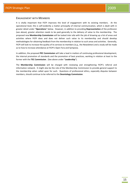## <span id="page-14-0"></span>ENGAGEMENT WITH MEMBERS

It is vitally important that FICPI improves the level of engagement with its existing members. At the operational level, this is self-evidently a matter principally of internal communication, which is dealt with in greater detail under "**Operations**" below. However, in addition to providing **Representation** of the profession (see above), greater attention needs to be paid generally to the delivery of value to the membership. The proposed new **Membership Commission** will be tasked *inter alia* with the job of drawing up a list of areas and activities where FICPI does and does not deliver such value to its membership and should develop methodologies for obtaining feedback from the membership in relation to such areas and activities. Generally, FICPI will look to increase the quality of its services to members (*e.g.*, the Newsletter) and a study will be made as to how to increase attendance at FICPI's Open Fora and Symposia.

In addition, the proposed **PEC Commission** will take a lead in matters of continuing professional development, the internal promotion of standards and the promotion of best practices, working in relation at least to the former with the **TEC Commission**. (See above under "**Leadership**").

The **Membership Commission** will be charged with reviewing and strengthening FICPI's referral and information network. It might also be the role of the Membership Commission to provide general support to the membership when called upon for such. Questions of professional ethics, especially disputes between members, should continue to be referred to the **Deontology Commission**.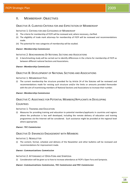## <span id="page-15-0"></span>II. MEMBERSHIP: OBJECTIVES

## <span id="page-15-1"></span>OBJECTIVE A: CLARIFIED CRITERIA FOR AND EXPECTATION OF MEMBERSHIP

<span id="page-15-2"></span>INITIATIVE 1: CRITERIA FOR AND CATEGORIES OF MEMBERSHIP

- (i) The criteria for membership of FICPI will be reviewed and, where necessary, clarified.
- (ii) The eligibility of trade mark attorneys for membership of FICPI will be reviewed and recommendations made.
- (iii) The potential for new categories of membership will be studied.

#### *Owner: Membership Commission*

<span id="page-15-3"></span>INITIATIVE 2: BENCHMARKING OF NATIONAL SECTIONS AND ASSOCIATIONS

(i) A benchmarking study will be carried out to identify differences in the criteria for membership of FICPI as between different national Sections and Associations.

#### *Owner: Membership Commission*

## <span id="page-15-4"></span>OBJECTIVE B: DEVELOPMENT OF NATIONAL SECTIONS AND ASSOCIATIONS

#### <span id="page-15-5"></span>INITIATIVE 1: MEMBERSHIP FEES

(i) The current membership fee structure provided for by Article 24 of the Statutes will be reviewed and recommendations made for revising such structure and/or the limits or amounts provided thereunder with the aim of incentivising members of National Sections and Associations to increase their number.

#### *Owner: Membership Commission*

## <span id="page-15-6"></span>OBJECTIVE C: ASSISTANCE FOR POTENTIAL MEMBERS/APPLICANTS IN DEVELOPING

## **COUNTRIES**

#### <span id="page-15-7"></span>INITIATIVE 1: TRAINING AND EDUCATION

(i) Measures for providing training and education to potential members/applicants in countries and regions where the profession is less well developed, including the remote delivery of education and training programmes *via* the Internet will be considered. Such assistance might be provided at the regional level where appropriate.

#### *Owner: TEC Commission*

## <span id="page-15-8"></span>OBJECTIVE D: ENHANCED ENGAGEMENT WITH MEMBERS

#### <span id="page-15-9"></span>INITIATIVE 1: NEWSLETTER

(i) The content, format, schedule and delivery of the Newsletter and other bulletins will be reviewed and recommendations for improvement made.

#### *Owner: Communications Commission*

#### <span id="page-15-10"></span>INITIATIVE 2: ATTENDANCE AT OPEN FORA AND SYMPOSIA

(i) Consideration will be given as to how to increase attendance at FICPI's Open Fora and Symposia.

#### *Owner: Communications Commission, TEC Commission and PEC Commission*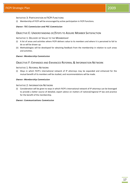#### <span id="page-16-0"></span>INITIATIVE 3: PARTICIPATION IN FICPI FUNCTIONS

(i) Membership of FICPI will be encouraged by active participation in FICPI functions.

#### *Owner: TEC Commission and PEC Commission*

## <span id="page-16-1"></span>OBJECTIVE E: UNDERSTANDING OF/STEPS TO ASSURE MEMBER SATISFACTION

#### <span id="page-16-2"></span>INITIATIVE 1: DELIVERY OF VALUE TO THE MEMBERSHIP

- (i) A list of areas and activities where FICPI delivers value to its members and where it is perceived to fail to do so will be drawn up.
- (ii) Methodologies will be developed for obtaining feedback from the membership in relation to such areas and activities.

#### *Owner: Membership Commission*

## <span id="page-16-3"></span>OBJECTIVE F: EXPANDED AND ENHANCED REFERRAL & INFORMATION NETWORK

#### <span id="page-16-4"></span>INITIATIVE 1: REFERRAL NETWORK

(i) Ways in which FICPI's international network of IP attorneys may be expanded and enhanced for the mutual benefit of its members will be studied, and recommendations will be made.

#### *Owner: Membership Commission*

<span id="page-16-5"></span>INITIATIVE 2: INFORMATION NETWORK

(i) Consideration will be given to ways in which FICPI's international network of IP attorneys can be leveraged to provide a better source of detailed, expert advice on matters of national/regional IP law and practice for the benefit of the membership.

#### *Owner: Communications Commission*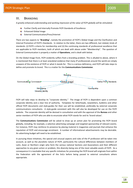## <span id="page-17-0"></span>III. BRANDING

*A greatly enhanced understanding and working impression of the value of FICPI globally will be stimulated.*

- $\ddot{+}$  Further Clarify and Internally Promote FICPI Standards of Excellence
- **Enhanced Global Image**
- External Communication/Press/Internet

There are two aspects to "**Branding**", namely the promotion of FICPI's Global Image and the Clarification and Internal Promotion of FICPI's Standards. In relation to the latter, there are two different, but related, kinds of standards: (i) FICPI's criteria for membership and (ii) the continuing standards of professional excellence that are applicable to FICPI members, both of which are dealt with above under "Membership". The question of External Communication is properly a matter of **Operations**, and is dealt with below.

On the Global Image front, FICPI evidently suffers from a branding problem. This is alluded to above, where it is mentioned that there is at least anecdotal evidence that many IP professionals around the world are simply unaware of the existence of FICPI or what it stands for. This is a serious deficiency, and FICPI will take steps to define and promote its brand. This is a matter for the **Communications Commission**.



FICPI will take steps to develop its "corporate identity." The image of FICPI is dependent upon a common corporate identity and a clear line of authority. Templates for letterheads, newsletters, bulletins and other official FICPI documents and style-guides for their use will be established, preferably by external corporate communications consultants. A style-guide consistent with this will also be developed for use on the FICPI website. The corporate identity will be devised in consultation and with the approval of the **Bureau** and other senior members of FICPI who are able to enunciate what FICPI stands for and its 'brand values'.

The **Communications Commission** will be asked to draw up an action plan for promoting the FICPI brand globally, including, for example, a selective advertising campaign and targeted sponsorship of relevant events. For instance, FICPI may reinforce its presence by placing material in magazines and journals that enhance the reputation of FICPI and encourage enrolment. A number of informational advertisements may be desirable. An advertising budget will need to be established.

In pursuing these initiatives, the special and unusual aspects and rules of the IP profession will be taken into account, as well as the pluralistic nature of FICPI, particularly the cultural differences between members of Latin, Asian or Northern origin who form the various national Sections and Associations and their different approaches to any given action or problem, this diversity being one of the most valuable assets of FICPI. As a consequence it is inevitable that any specific initiatives for promoting the FICPI brand will originate from within the Federation with the agreement of the ExCo before being passed to external consultants where appropriate.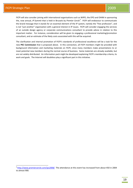FICPI will also consider joining with international organisations such as WIPO, the EPO and OHIM in sponsoring the, now annual, *IP Summit* that is held in Brussels by *Premier Cercle[4](#page-18-0)* . FICPI will endeavour to communicate the brand message that it stands for an essential element of the IP system, namely the "free profession", and is not "just another" organisation with a general interest in IP issues. FICPI will consider engaging the services of an outside design agency or corporate communications consultant to provide advice in relation to this important matter. For instance, consideration will be given to engaging a professional marketing/promotion consultant, and an estimate of the likely costs associated with this will be acquired.

The clarification and internal promotion of FICPI's standards of professional excellence will be a task for the new **PEC Commission** that is proposed above. In this connection, all FICPI members might be provided with background information and marketing materials on FICPI, since many members make presentations to or meet potential new members during the normal course of business. Some materials are already available, but are not widely distributed. An information pack might be developed explaining FICPI's membership criteria, its work and goals. The Internet will doubtless play a significant part in this initiative.

<span id="page-18-0"></span><sup>&</sup>lt;sup>4</sup> <http://www.premiercercle.com/ips2008/>The attendance at this event has increased from about 450 in 2004 to almost 900.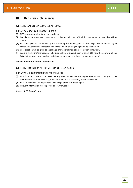## <span id="page-19-0"></span>III. BRANDING: OBJECTIVES

## <span id="page-19-1"></span>OBJECTIVE A: ENHANCED GLOBAL IMAGE

#### <span id="page-19-2"></span>INITIATIVE 1: DEFINE & PROMOTE BRAND

- (i) FICPI's corporate identity will be developed.
- (ii) Templates for letterheads, newsletters, bulletins and other official documents and style-guides will be created.
- (iii) An action plan will be drawn up for promoting the brand globally. This might include advertising in magazines/journals or sponsorship of events. An advertising budget will be established.
- (iv) Consideration will be given to engaging a professional marketing/promotion consultant.
- (v) Specific marketing/promotional initiatives will be originated from within FICPI with the approval of the ExCo before being developed or carried out by external consultants (where appropriate).

#### *Owner: Communications Commission*

## <span id="page-19-3"></span>OBJECTIVE B: INTERNAL PROMOTION OF STANDARDS

#### <span id="page-19-4"></span>INITIATIVE 1: INFORMATION PACK FOR MEMBERS

- (i) An information pack will be developed explaining FICPI's membership criteria, its work and goals. The pack will contain *inter alia* background information and marketing materials on FICPI.
- (ii) All FICPI members will be provided with a copy of the information pack.
- (iii) Relevant information will be posted on FICPI's website.

#### *Owner: PEC Commission*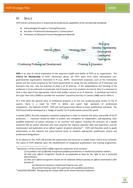## <span id="page-20-0"></span>IV. SKILLS

*FICPI will be a primary force in improving the professional capabilities of the membership worldwide.*

- $\ddot{+}$  Acknowledged Strength in Training/Education
- $\frac{1}{\sqrt{1}}$  Key Role in Professional Development / Enhancement
- **Promotion of Advanced Practice Management Methods**

|                                             | Branding                             |
|---------------------------------------------|--------------------------------------|
|                                             | Develop Membership                   |
| <b>OInternal Affairs</b>                    | ·Strategic Plan<br><b>Covernance</b> |
| Skills                                      | <b>Leadership</b>                    |
|                                             | Operations                           |
| <b>•Continuing Professional Development</b> | ●Training & Education                |

**Skills** is an area of critical importance to the long-term health and vitality of FICPI as an organisation. The **Criteria for Membership** of FICPI, mentioned above, set FICPI apart from other international nongovernmental organisations interested in IP (*e.g.*, AIPPI). Government proposals, such as the Community patent and the recent proposal by the French government to merge the two professions of IP attorneys and barristers into one, raise the question of what is an IP attorney. If the independence and standing of the profession is to be enhanced or preserved, and if courses are to be properly structured, then it is necessary to have a clear idea of the appropriate criteria that qualify a person as an IP attorney. A workshop was held at the Cape Town ExCo (2000) to consider the resolution<sup>[5](#page-20-1)</sup> passed by the ExCo in Cannes (1988) and to refine it.

At a time when the general value of intellectual property is on the rise, producing great strains on the IP system, there is a need for FICPI to define and assert high standards of professional competence - the hallmark of FICPI. FICPI will resist government efforts to lower qualification standards. The FICPI brand will be developed as a "badge of quality" for IP professionals around the world.

In Seville (2007), the ExCo adopted a resolution urging that in order to maintain the status and profile of the IP profession, "... *measures should be taken to protect and strengthen an independent, self-regulating, wellqualified profession of patent attorneys in all countries and regions, including the provision of a legally protected title for patent attorneys who have acquired the requisite specialist skills and experience, and the maintenance and publication of an official register of patent attorneys[6](#page-21-2)* ". FICPI will therefore work to guide policymakers at the national and supra-national levels to establish appropriate qualification criteria and professional designations.

As an adjunct to this, FICPI will provide the opportunity and resources to enable these criteria to be achieved. The status of FICPI depends upon the establishment of recognised qualifications and training programmes.

- *(a) theoretical training in Intellectual Property Law; and*
- *(b) practical training under the supervision of a qualified practitioner*.
- <sup>6</sup> EXCO/ES07/RES/001 "*Recognising the Unique Skills of the Patent Attorney Profession*"

<span id="page-20-1"></span> $<sup>5</sup>$  Resolution 1 of the Cannes EXCO (1988) urged the authorities of all countries:</sup>

<sup>(</sup>*1) to publish a list of officially recognised qualified practitioners in intellectual property matters,*

*<sup>(2)</sup> that such official recognition should be accompanied at least by the right to use a protected denomination;*

*<sup>(3)</sup> that such official recognition should not be obtained without passing an official examination after periods of:*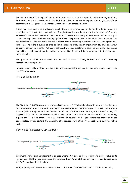The enhancement of training is of paramount importance and requires cooperation with other organisations, both professional and governmental. Standard of qualification and continuing education may be considered together with a recognised international designation as the ultimate objective.

It is evident that many patent offices, especially those that are members of the Trilateral Cooperation, are struggling to cope with the sheer volume of applications that are being made for the grant of IP rights, especially in the field of patents. At the same time it is evident that many applications of dubious quality or scope are being filed which is contributing significantly to the problem. The problem is further compounded by the difficulties faced by the profession and IP offices alike in protecting inventions in new technological areas. In the interests of the IP system at large, and in the interests of FICPI as an organisation, FICPI will endeavour to work in partnership with the IP offices to solve such workload problems. In part, this means FICPI addressing and taking a leadership stance in relation to the quality of the work being done by patent professionals internationally.

The question of "**Skills**" breaks down into two distinct areas: "**Training & Education**" and "**Continuing Professional Development**".

Primary responsibility for Training & Education and Continuing Professional Development should remain with the **TEC Commission**.

#### <span id="page-21-0"></span>TRAINING & EDUCATION



The **SEAD** and **EUROSEAD** courses are of significant value to FICPI's brand and contribute to the development of the profession around the world, notably in Southeast Asia and Eastern Europe. FICPI will continue with these important programmes under the direction of the **TEC Commission**. Further, as mentioned above, it is suggested that the TEC Commission should develop other course content that can be delivered remotely, *e.g*., via the Internet in order to reach professionals in countries and regions where the profession is less concentrated. In this context, the possibility of cooperating with other IP organisations, e.g., AIPLA will be explored.

#### <span id="page-21-1"></span>CONTINUING PROFESSIONAL DEVELOPMENT



Continuing Professional Development is an area where FICPI does and can continue to deliver value to its membership. FICPI will continue to run the European **Open Fora** and should develop a regular **Symposium** in the Far East and possibly elsewhere.

<span id="page-21-2"></span>As appropriate, FICPI will continue to run *Ad Hoc Courses* such as the Masters Course in US Patent Drafting.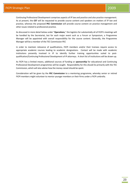Continuing Professional Development comprises aspects of IP law and practice and also practice management. As at present, the **CET** will be requested to provide course content and speakers on matters of IP law and practice, whereas the proposed **PEC Commission** will provide course content on practice management and other issues related to professional practice.

As discussed in more detail below under "**Operations**," the logistics for substantially all of FICPI's meetings will be handled by the Secretariat, but for each major event such as a Forum or Symposium, a Programme Manager will be appointed with overall responsibility for the course content. Generally, the Programme Manager will be a member of the TEC Commission PEC

In order to maintain relevance of qualifications, FICPI members and/or their trainees require access to appropriate academic courses leading to academic designations. Contact will be made with academic institutions presently involved in IP to identify further training opportunities suited to postqualification/Continuing Professional Development of IP attorneys. A short list of institutions will be drawn up.

As FICPI has a limited means, additional sources of funding or **sponsorship** for educational and Continuing Professional Development programmes will be sought. Responsibility for this should lie primarily with the TEC Commission, which will also advise how the money raised should be spent.

Consideration will be given by the **PEC Commission** to a mentoring programme, whereby senior or retired FICPI members might volunteer to mentor younger members or their firms under a FICPI umbrella.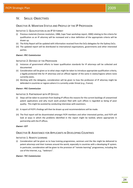## <span id="page-23-0"></span>IV. SKILLS: OBJECTIVES

## <span id="page-23-1"></span>OBJECTIVE A: MAINTAIN STATUS AND PROFILE OF THE IP PROFESSION

<span id="page-23-2"></span>INITIATIVE 1: QUALIFICATION AS AN IP ATTORNEY

- (i) Previous materials (Cannes resolution, 1988, Cape Town workshop report, 2000) relating to the criteria for qualification as an IP attorney will be reviewed and a clear definition of the appropriate criteria will be drawn up.
- (ii) The Kirby Report will be updated with information received from the ExCo delegates for the Sydney ExCo.
- (iii) The updated report will be distributed to international organisations, governments and other interested parties.

#### *Owner: PEC Commission*

<span id="page-23-3"></span>INITIATIVE 2: DEFENCE OF THE PROFESSION

- (i) Instances of government efforts to lower qualification standards for IP attorneys will be collected and documented.
- (ii) Consideration will be given as to what steps might be taken to introduce appropriate qualification criteria, a legally-protected title for IP attorneys and an official register of the same in states/regions where none currently exists.
- (iii) Working with the delegates, consideration will be given to how the profession of IP attorney might be defended in countries or regions where it is currently under threat (*e.g.,* France).

#### *Owner: PEC Commission*

#### <span id="page-23-4"></span>INITIATIVE 3: PARTNERSHIP WITH IP OFFICES

- (i) Steps will be taken to ascertain from leading IP offices the reasons for the current backlogs of unexamined patent applications and why much work product filed with such offices is regarded as being of poor quality. This might be assisted by conducting interviews with examiners.
- (ii) A report of FICPI's findings will then be drawn up and recommendations will be made.
- (iii) The final report will be disseminated amongst FICPI members and other interested parties, and FICPI will look at ways in which the problems identified in the report might be tackled, where appropriate in partnership with the IP offices.

#### *Owner: CET*

#### <span id="page-23-5"></span>OBJECTIVE B: ASSISTANCE FOR APPLICANTS IN DEVELOPING COUNTRIES

#### <span id="page-23-6"></span>INITIATIVE 1: REMOTE LEARNING

(i) Consideration will be given as to how training programmes, seminars and the like might be delivered to patent attorneys and their trainees around the world, especially in countries with a developing IP system. In particular, consideration will be given to the provision of "remote learning" programmes, including the use of the Internet, *e.g.,* "webinars".

#### *Owner: TEC Commission*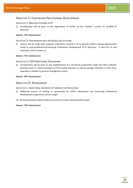## <span id="page-24-0"></span>OBJECTIVE C: CONTINUING PROFESSIONAL DEVELOPMENT

#### <span id="page-24-1"></span>INITIATIVE 1: MASTERS COURSES IN IP

(i) Consideration will be given to the organisation of further *ad hoc* "masters" courses for qualified IP attorneys.

#### *Owner: TEC Commission*

#### <span id="page-24-2"></span>INITIATIVE 2: PARTNERSHIP WITH ACADEMIC INSTITUTIONS

(i) Contact will be made with academic institutions involved in IP to identify further training opportunities suited to post-qualification/Continuing Professional Development of IP attorneys. A short list of such institutions will be drawn up.

#### *Owner: TEC Commission*

#### <span id="page-24-3"></span>INITIATIVE 3: FICPI MENTORING PROGRAMME

(i) Consideration will be given to the establishment of a mentoring programme under the FICPI umbrella, whereby senior or retired members of FICPI would volunteer to mentor younger members or their firms, especially in relation to practice management issues.

#### *Owner: PEC Commission*

## <span id="page-24-4"></span>OBJECTIVE D: SPONSORSHIP

<span id="page-24-5"></span>INITIATIVE 1: ADDITIONAL SOURCES OF FUNDING FOR EDUCATION

- (i) Additional sources of funding or sponsorship for FICPI's educational and Continuing Professional Development programmes will be sought.
- (ii) Recommendations will be made as to how the money raised should be spent.

#### *Owner: TEC Commission*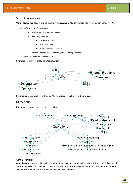## <span id="page-25-0"></span>V. OPERATIONS

*More effective operational and administrative measures will be established and promoted throughout FICPI.*

- **Infrastructure/Governance** 
	- Formalized Planning Processes
	- Planning Calendar
		- **10 Year Horizon**
		- **5 Year Full Plan**
		- Annual Initiative Update
	- Formal Procedures for Tracking and Updating Progress
- **↓** Internal Communications/Internet

**Operations** is a subset of FICPI's **Internal Affairs**.



<span id="page-25-1"></span>**Governance** is also a subset of Internal Affairs, but is not really part of **Operations**.

#### **OPERATIONS**

**Operations** involves numerous roles as follows:



#### <span id="page-25-2"></span>ADMINISTRATION

**Administration** involves the maintenance of Membership Lists as well as the Invoicing and Collection of membership fees from members. Invoicing and collections are currently matters for the **Treasurer General**, whereas the membership lists are maintained by the **Secretariat**.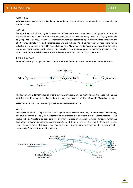#### <span id="page-26-0"></span>ADMISSIONS

**Admissions** are handled by the **Admissions Commission**, but enquiries regarding admissions are handled by the Secretariat.

#### <span id="page-26-1"></span>ARCHIVE

The **FICPI Archive**, that is to say FICPI's collection of documents, will also be maintained by the **Secretariat**. In this regard, FICPI has a wealth of information collected over the years on many issues. It is largely accessible only by personal memory. A centralised archive with search and retrieval capabilities would facilitate the work of FICPI and, ultimately, would be incorporated into the website. As a first step, the past resolutions will be collected and organised, followed by recent ExCo papers. Allowance may be made in the budget for data entry assistance. Information on national or regional law changes or IP cases that is provided by the delegates in the ExCo country reports will also be made available on the website in a more accessible manner.

#### <span id="page-26-2"></span>**COMMUNICATIONS**

**Communications** (as an operation) involves both **External Communications** and **Internal Communications**.



The Federation's **External Communications** currently principally involve relations with the Press and also the Website, in addition to matters of advertising and sponsorship which are dealt with under "**Branding**" above.

**Press Relations** should be handled by the **Communications Commission**.

#### **WEBSITE**

The **Website** is of critical importance to FICPI's operations and communications, both internally and externally, and involves inputs, not only from **External Communications**, but also from **Internal Communications**. The Website should therefore be seen as a resource that is shared by numerous different functions within the Federation. Steps will be taken to expedite completion of the new website. It is important that the website should comprise electronic business functionality, including the facility for accepting credit card payments for membership fees, event registration fees, etc.

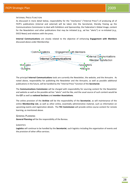#### INTERNAL PRESS FUNCTION

As discussed in more detail below, responsibility for the "mechanics" ("Internal Press") of producing all of FICPI's publications (internal and external) will be taken into the Secretariat, thereby freeing up the Communications Commission to deal with Exhibitors and Sponsorship, the Federation's Global Image, content for the Newsletters and other publications that may be initiated (*e.g., ad hoc* "alerts") or re-initiated (*e.g.*, EXCO News) and relations with the press.

**Internal Communications** are closely related to the objective of enhancing **Engagement with Members** discussed above under Membership:



The principal **Internal Communications** tools are currently the Newsletter, the website, and the Annuaire. As noted above, responsibility for publishing the Newsletter and the Annuaire, as well as possible additional publications in the future, will be handled by the "Internal Press" function of the **Secretariat**.

The **Communications Commission** will be charged with responsibility for sourcing content for the Newsletter and website as well as the possible *ad hoc* "alerts" and the like, and the usual source of such content would be the **CET** as well as **national Sections** and **member Associations**.

The online provision of the **Archive** will be the responsibility of the **Secretariat**, as will maintenance of the online **Membership List**, as well as other online, essentially administrative material, such as information on upcoming events and registration details. The **TEC Commission** will provide online course content for remote learning, as mentioned above.

#### <span id="page-27-0"></span>GENERAL PLANNING

**General Planning** will be the responsibility of the Bureau.

#### <span id="page-27-1"></span>**LOGISTICS**

**Logistics** will continue to be handled by the **Secretariat**, such logistics including the organisation of events and the provision of other office services.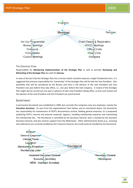

#### <span id="page-28-0"></span>THE STRATEGIC PLAN

Responsibility for **Monitoring Implementation of the Strategic Plan** as well as periodic **Reviewing and Refreshing of the Strategic Plan** lies with the **Bureau**.

In view of the fact that the Strategic Plan has a horizon which stretches beyond a single Presidential term, it is suggested that primary responsibility for "ownership" of the Strategic Plan will lie with the Vice President. One possibility that will be considered by the Bureau and ExCo is the election of the next President and Vice President one year before they take office, *i.e.*, one year before the next Congress. A review of the Strategic Plan might also be carried out one year in advance of each new President taking office, so that such review and the election of the next President and Vice President are synchronised.

#### <span id="page-28-1"></span>**SECRETARIAT**

A permanent Secretariat was established in 2006, but currently this comprises only one employee, namely the **Executive Secretary**. As seen from the organisational chart below, and as mentioned above, the Secretariat has responsibility for maintenance of FICPI's documentary archive, fielding general enquiries, (it is proposed) publishing FICPI's internal and external materials, logistics, handling membership enquiries and maintaining the membership lists. The Secretariat is controlled by the Secretary General, who is assisted by the Assistant Secretary General, and also receives support from the Webmaster. Other administrative duties (*e.g.*, invoicing and collections) are currently handled by the Treasurer General, but could easily be handled by the Secretariat.

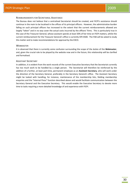#### <span id="page-29-0"></span>REIMBURSEMENTS FOR SECRETARIAL ASSISTANCE

The Bureau does not believe that a centralised Secretariat should be created, and FICPI's assistance should continue in the main to be localised in the offices of its principal officers. However, the administrative burden falling on such principal officers has increased to the extent that the current reimbursements allowed are largely "token" and in no way cover the actual costs incurred by the officers' firms. This is particularly true in the case of the Treasurer General, whose assistant spends at least 50% of her time on FICPI matters, whilst the current reimbursement for the Treasurer General's office is currently SFR 4500. The FAB will be asked to study this matter and to make recommendations for approval by the EXCO.

#### <span id="page-29-1"></span>**WEBMASTER**

It is observed that there is currently some confusion surrounding the scope of the duties of the **Webmaster**, and, given the crucial role to be played by the website now and in the future, this relationship will be clarified and formalised.

#### <span id="page-29-2"></span>ASSISTANT SECRETARY

In addition, it is evident from the work records of the current Executive Secretary that the Secretariat currently has too much work to be handled by a single person. The Secretariat will therefore be reinforced by the addition of a further, at least part-time, permanent employee as an **Assistant Secretary**, who will work under the direction of the Secretary General, preferably in the Secretary General's office. The Assistant Secretary might be tasked with handling, for instance, maintenance of the membership lists, fielding membership enquiries and the "Internal Press" function described above and would facilitate communication between the Secretary General and the Executive Secretary. This would enable the Executive Secretary to devote more time to tasks requiring a more detailed knowledge of and experience with FICPI.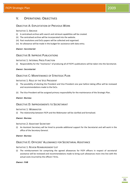## <span id="page-30-0"></span>V. OPERATIONS: OBJECTIVES

## <span id="page-30-1"></span>OBJECTIVE A: EXPLOITATION OF PREVIOUS WORK

#### <span id="page-30-2"></span>INITIATIVE 1: ARCHIVE

- (i) A centralised archive with search and retrieval capabilities will be created.
- (ii) The centralised archive will be incorporated into the website.
- (iii) Past resolutions and ExCo papers will be collected and organised.
- (iv) An allowance will be made in the budget for assistance with data entry.

#### *Owner: Secretariat*

## <span id="page-30-3"></span>OBJECTIVE B: IMPROVE PUBLICATIONS

#### <span id="page-30-4"></span>INITIATIVE 1: INTERNAL PRESS FUNCTION

(i) Responsibility for the "mechanics" of producing all of FICPI's publications will be taken into the Secretariat.

#### *Owner: Secretariat*

## <span id="page-30-5"></span>OBJECTIVE C: MAINTENANCE OF STRATEGIC PLAN

#### <span id="page-30-6"></span>INITIATIVE 1: ROLE OF THE VICE PRESIDENT

- (i) The possibility of electing the President and Vice President one year before taking office will be reviewed and recommendations made to the ExCo.
- (ii) The Vice President will be assigned primary responsibility for the maintenance of the Strategic Plan.

#### *Owner: Bureau*

## <span id="page-30-7"></span>OBJECTIVE D: IMPROVEMENTS TO SECRETARIAT

#### <span id="page-30-8"></span>INITIATIVE 1: WEBMASTER

(i) The relationship between FICPI and the Webmaster will be clarified and formalised.

#### *Owner: Bureau*

#### <span id="page-30-9"></span>INITIATIVE 2: ASSISTANT SECRETARY

(i) An Assistant Secretary will be hired to provide additional support for the Secretariat and will work in the office of the Secretary General.

#### *Owner: Bureau*

## <span id="page-30-10"></span>OBJECTIVE E: OFFICERS' ALLOWANCE FOR SECRETARIAL ASSISTANCE

#### <span id="page-30-11"></span>INITIATIVE 1: REVIEW REIMBURSEMENT LIST

(i) The reimbursement list comprising the agreed allowances for FICPI officers in respect of secretarial assistance will be reviewed and recommendations made to bring such allowances more into line with the actual costs incurred by the officers' firms.

#### *Owner: FAB*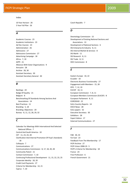## FICPI Strategic Plan 2009

#### Index

10 Year Horizon · 26 5 Year Full Plan · 26

## *A*

Academic Courses · 23 Academic Institutions · 23 *Ad Hoc Courses* · 23 Administration · 26 Admissions · 27 Admissions Commission · 27 Advertising Campaign · 18 Africa · 7, 10  $A$ IPPI $\cdot$  21 Alliances With Sister Organisations · 9 Annuaire · 28 Archive · 28, 30 Assistant Secretary · 30 Assistant Secretary General · 30

## *B*

Backlogs · 24 Badge Of Quality · 21 Belgium · 8 Benchmarking Of Standards Among Sections And Associations · 14 Best Practices · 11 Branding · 5, 18 Branding: Objectives · 20 Bureau · 8, 11, 12, 28, 29, 32

## *C*

Calendar For Meetings With International And Selected National Offices · 7 Central And South America · 10 CET · 11, 23, 24, 28 Clarification And Internal Promotion Of Ficpi's Standards · 18 Colloquia · 7 Communications · 27 Communications Commission · 8, 17, 18, 20, 28 Community Patent · 21 Contact Commission · 7, 10 Continuing Professional Development · 11, 15, 22, 23, 25 Corporate Identity · 18, 20 Credit Card Payments · 27 Criteria For Membership · 14, 21 Cyprus  $\cdot$  7, 10

Czech Republic · 7

#### *D*

Deontology Commission · 15 Development of Existing National Sections and Associations · 13 Development of National Sections · 6 DG Enterprise & Industry · 8, 11 DG Internal Market & Services · 8 DG Markt · 11 DG Research · 8, 11 DG Trade · 8, 11 DOC Commission · 8

#### *E*

Eastern Europe · 10, 22 Ecuador · 10 Electronic Business Functionality · 27 Engagement with Members · 15, 28  $EPO - 7, 12, 19$  $EUCOF \cdot 10, 11$ European Commission · 7, 8, 11 European Members Commission (EUCOF) · 8 European Parliament · 8, 11 EUROSEAD · 22 ExCo Country Reports · 14 EXCO News · 28 ExCo papers · 32 Executive Secretary · 30 Exhibitors · 28 Expert Advice · 17 External Communications · 27

## *F*

 $FAB \cdot 30.33$ Far East · 23 Feedback From The Membership · 17 FICPI Archive · 27 FICPI Vision 2008-19 · 5 FICPI's Criteria For Membership · 18 France · 24 Free Profession · 6 French Government · 21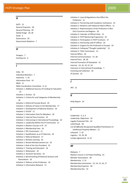## *G*

 $GATS \cdot 12$ General Enquiries · 30 General Planning · 28 Global Image · 18, 28 Goals · 5 Governance · 26 Government Relations · 7

## *H*

Hungary · 7 Hunting List  $\cdot$  6

## *I*

India · 10 Individual Members · 7 Indonesia · 7, 10 Information Pack · 19 INGO · 11 INGO Coordination Committee · 9, 12 Initiative 1: Additional Sources of Funding for Education · 25 Initiative 1: Archive · 32 Initiative 1: Criteria for and Categories of Membership · 16 Initiative 1: Define & Promote Brand · 20 Initiative 1: Delivery of Value to the Membership · 17 Initiative 1: Development of National Sections · 10 Initiative 1: EUCOF · 11 Initiative 1: Information Pack for Members · 20 Initiative 1: Internal Press Function · 32 Initiative 1: Intervening in International Proceedings · 10 Initiative 1: Leadership Within the IP Community · 12 Initiative 1: Masters Courses in IP · 25 Initiative 1: Membership Fees · 16 Initiative 1: PEC Commission · 11 Initiative 1: Qualification as an IP Attorney · 24 Initiative 1: Referral Network · 17 Initiative 1: Remote Learning · 24 Initiative 1: Review Reimbursement List · 33 Initiative 1: Role of the Vice President · 32 Initiative 1: Training and Education · 16 Initiative 1: Webmaster · 32 Initiative 2: Assistant Secretary · 32 Initiative 2: Benchmarking Of National Sections and Associations · 16 Initiative 2: Defence of the Profession · 24 Initiative 2: Information Network · 17

Initiative 2: Laws & Regulations that Affect the Profession · 11 Initiative 2: Partnership with Academic Institutions · 25 Initiative 2: Relations with National Patent Offices · 11 Initiative 2: Representation of the Profession in Non-ExCo Countries and Regions · 10 Initiative 3: Calendar of Official Visits · 12 Initiative 3: FICPI Mentoring Programme · 25 Initiative 3: Participation in FICPI Functions · 17 Initiative 3: Partnership with IP Offices · 24 Initiative 3: Support for the Profession in Europe · 10 Initiative 4: Colloquia/"Thought Leadership" · 12 Initiative 5: TASC Commission · 12 Internal Affairs · 26 Internal Communications · 27, 28 Internal Press · 28, 30 Internal Promotion Of Standards · 15 Internet · 14, 16, 19, 22, 24 Intervene In International Proceedings · 7 Invoicing and Collection · 26 *IP Summit* · 19

#### *J*

JPO · 12

## *K*

Kirby Report · 24

## *L*

Leadership · 5, 6, 9 Leadership: Objectives · 10 Legally-Protected Title · 24 Letterheads · 18 *List Of Officially Recognised Qualified Practitioners In Intellectual Property Matters* · 21 Lithuania · 7, 10 Logistics · 23, 29, 30 London Agreement · 8, 10

#### *M*

Malaysia · 7 Masters Course in US Patent Drafting · 23 Member Associations · 28 Membership · 5, 13 Membership Commission · 13, 14, 15, 16, 17 Membership Enquiries · 30 Membership fees · 14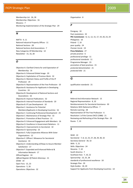## FICPI Strategic Plan 2009

Membership List · 26, 28 Membership: Objectives · 16 Missions · 7 Monitoring Implementation of the Strategic Plan · 29

## *N*

NAFTA · 9, 11 National Industrial Property Offices · 11 National Sections · 28 National Sections And Associations · 7 New Categories Of Membership · 14 Newsletter · 15, 16, 28

#### *O*

Objective A: Clarified Criteria for and Expectation of Membership · 16 Objective A: Enhanced Global Image · 20 Objective A: Exploitation of Previous Work · 32 Objective A: Maintain Status and Profile of the IP Profession · 24 Objective A: Representation of the Free Profession · 10 Objective B: Assistance for Applicants in Developing Countries · 24 Objective B: Development of National Sections and Associations · 16 Objective B: Improve Publications · 32 Objective B: Internal Promotion of Standards · 20 Objective B: IP Law Development · 10 Objective C: Assistance for Potential Members/Applicants in Developing Countries · 16 Objective C: Continuing Professional Development · 25 Objective C: Maintenance of Strategic Plan · 32 Objective C: Promotion of Best Practices · 11 Objective D: Enhanced Engagement with Members · 16 Objective D: Excellence in Government Relations · 11 Objective D: Improvements to Secretariat · 32 Objective D: Sponsorship · 25 Objective E: Fully Cooperative Alliances With Sister Organisations · 12 Objective E: Officers' Allowance for Secretarial Assistance · 33 Objective E: Understanding of/Steps to Assure Member Satisfaction · 17 Objective F: Expanded and Enhanced Referral & Information Network · 17 Official Register · 24 *Official Register Of Patent Attorneys* · 21 OHIM · 19 Open Fora · 15, 23 Operations · 5, 26 Operations: Objectives · 32

Organisation · 8

#### *P*

Paraguay · 10 Past resolutions · 32 **PEC Commission** · 8, 11, 12, 15, 17, 19, 20, 23, 24 Philippines · 10 Poland  $\cdot$  7, 10 poor quality · 24 *Premier Cercle* · 19 **Press Relations** · 27 private practice · 6 professional privilege · 11 professional standards · 11 Programme Manager · 23 promotion of best practices · 15 *protected denomination* · 21 *protected title* · 21

#### *Q*

qualification standards · 21

## *R*

Referral And Information Network · 15 Regional Representation · 8, 10 Reimbursements For Secretarial Assistance · 30 Relations With National Ip Offices · 7 Remote Learning · 28 Representation Of The Free Profession · 6 Resolution 1 of the Cannes EXCO (1988) · 21 Reviewing and Refreshing of the Strategic Plan · 29 Russia · 7, 10

#### *S*

 $SEAD \cdot 22$ Secretariat · 7, 8, 12, 23, 27, 28, 29, 30, 32 Secretary General · 30, 32 Skills · 5, 21 Skills: Objectives · 24 Slovenia · 7, 10 South America · 7 Southeast Asia · 7, 10, 22 Sponsorship · 23, 25, 28 standards of professional excellence · 18 Strategic Plan · 29 Style-Guides · 18, 20 Support for Applicants from Developing Countries · 14